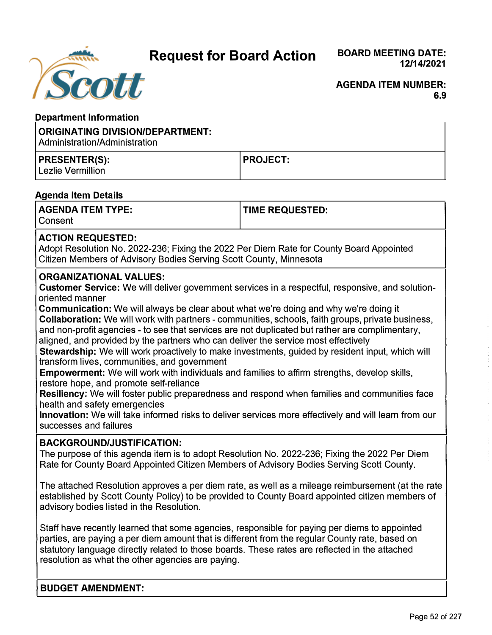**Request for Board Action** 



#### **AGENDA ITEM NUMBER: 6.9**

# **Department Information**

#### **ORIGINATING DIVISION/DEPARTMENT:**  Administration/Administration **PRESENTER(S):**  Lezlie Vermillion **PROJECT:**

# **Agenda Item Details**

| <b>AGENDA ITEM TYPE:</b> | <b>TIME REQUESTED:</b> |
|--------------------------|------------------------|
| l Consent                |                        |

# **ACTION REQUESTED:**

Adopt Resolution No. 2022-236; Fixing the 2022 Per Diem Rate for County Board Appointed Citizen Members of Advisory Bodies Serving Scott County, Minnesota

# **ORGANIZATIONAL VALUES:**

**Customer Service:** We will deliver government services in a respectful, responsive, and solutionoriented manner

**Communication:** We will always be clear about what we're doing and why we're doing it **Collaboration:** We will work with partners - communities, schools, faith groups, private business, and non-profit agencies - to see that services are not duplicated but rather are complimentary, aligned, and provided by the partners who can deliver the service most effectively

**Stewardship:** We will work proactively to make investments, guided by resident input, which will transform lives, communities, and government

**Empowerment:** We will work with individuals and families to affirm strengths, develop skills, restore hope, and promote self-reliance

**Resiliency:** We will foster public preparedness and respond when families and communities face health and safety emergencies

**Innovation:** We will take informed risks to deliver services more effectively and will learn from our successes and failures

# **BACKGROUND/JUSTIFICATION:**

The purpose of this agenda item is to adopt Resolution No. 2022-236; Fixing the 2022 Per Diem Rate for County Board Appointed Citizen Members of Advisory Bodies Serving Scott County.

The attached Resolution approves a per diem rate, as well as a mileage reimbursement (at the rate established by Scott County Policy) to be provided to County Board appointed citizen members of advisory bodies listed in the Resolution.

Staff have recently learned that some agencies, responsible for paying per diems to appointed parties, are paying a per diem amount that is different from the regular County rate, based on statutory language directly related to those boards. These rates are reflected in the attached resolution as what the other agencies are paying.

**BUDGET AMENDMENT:**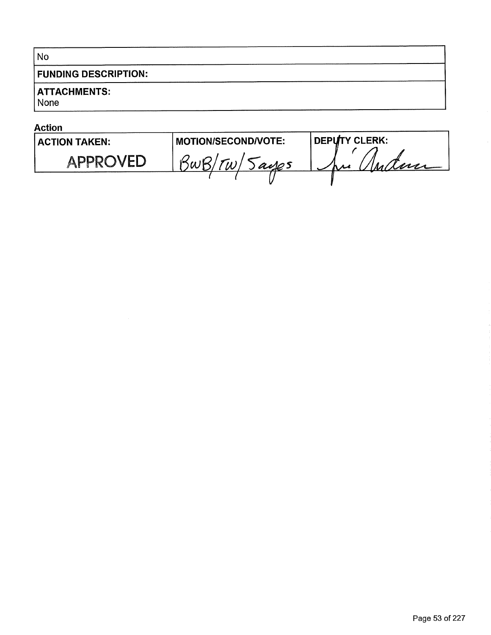# No

# **FUNDING DESCRIPTION:**

# **ATTACHMENTS:**

None

#### **Action MOTION/SECOND/VOTE: DEPUTY CLERK: ACTION TAKEN:** ne Anderse BwB/TW/Jayes **APPROVED**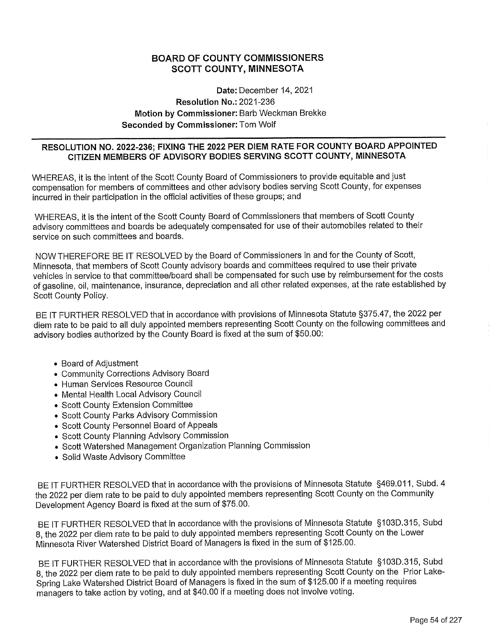## **BOARD OF COUNTY COMMISSIONERS SCOTT COUNTY, MINNESOTA**

## Date: December 14, 2021 **Resolution No.: 2021-236** Motion by Commissioner: Barb Weckman Brekke **Seconded by Commissioner: Tom Wolf**

## RESOLUTION NO. 2022-236; FIXING THE 2022 PER DIEM RATE FOR COUNTY BOARD APPOINTED CITIZEN MEMBERS OF ADVISORY BODIES SERVING SCOTT COUNTY, MINNESOTA

WHEREAS, it is the intent of the Scott County Board of Commissioners to provide equitable and just compensation for members of committees and other advisory bodies serving Scott County, for expenses incurred in their participation in the official activities of these groups; and

WHEREAS, it is the intent of the Scott County Board of Commissioners that members of Scott County advisory committees and boards be adequately compensated for use of their automobiles related to their service on such committees and boards.

NOW THEREFORE BE IT RESOLVED by the Board of Commissioners in and for the County of Scott, Minnesota, that members of Scott County advisory boards and committees required to use their private vehicles in service to that committee/board shall be compensated for such use by reimbursement for the costs of gasoline, oil, maintenance, insurance, depreciation and all other related expenses, at the rate established by Scott County Policy.

BE IT FURTHER RESOLVED that in accordance with provisions of Minnesota Statute §375.47, the 2022 per diem rate to be paid to all duly appointed members representing Scott County on the following committees and advisory bodies authorized by the County Board is fixed at the sum of \$50.00:

- Board of Adjustment
- Community Corrections Advisory Board
- Human Services Resource Council
- Mental Health Local Advisory Council
- Scott County Extension Committee
- Scott County Parks Advisory Commission
- Scott County Personnel Board of Appeals
- Scott County Planning Advisory Commission
- Scott Watershed Management Organization Planning Commission
- Solid Waste Advisory Committee

BE IT FURTHER RESOLVED that in accordance with the provisions of Minnesota Statute §469.011, Subd. 4 the 2022 per diem rate to be paid to duly appointed members representing Scott County on the Community Development Agency Board is fixed at the sum of \$75.00.

BE IT FURTHER RESOLVED that in accordance with the provisions of Minnesota Statute §103D.315. Subd 8, the 2022 per diem rate to be paid to duly appointed members representing Scott County on the Lower Minnesota River Watershed District Board of Managers is fixed in the sum of \$125.00.

BE IT FURTHER RESOLVED that in accordance with the provisions of Minnesota Statute §103D.315, Subd 8, the 2022 per diem rate to be paid to duly appointed members representing Scott County on the Prior Lake-Spring Lake Watershed District Board of Managers is fixed in the sum of \$125.00 if a meeting requires managers to take action by voting, and at \$40.00 if a meeting does not involve voting.